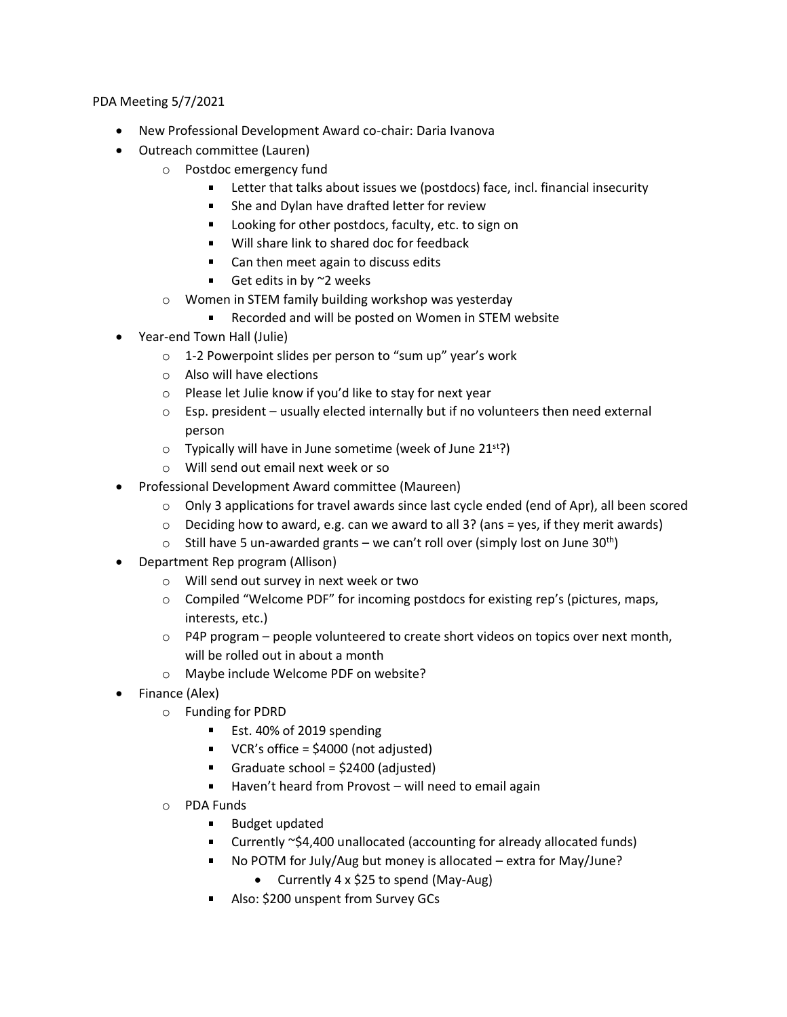PDA Meeting 5/7/2021

- New Professional Development Award co-chair: Daria Ivanova
- Outreach committee (Lauren)
	- o Postdoc emergency fund
		- **EXECT** Letter that talks about issues we (postdocs) face, incl. financial insecurity
		- **She and Dylan have drafted letter for review**
		- **Looking for other postdocs, faculty, etc. to sign on**
		- Will share link to shared doc for feedback
		- Can then meet again to discuss edits
		- Get edits in by  $\sim$  2 weeks
	- o Women in STEM family building workshop was yesterday
		- Recorded and will be posted on Women in STEM website
- Year-end Town Hall (Julie)
	- o 1-2 Powerpoint slides per person to "sum up" year's work
	- o Also will have elections
	- o Please let Julie know if you'd like to stay for next year
	- $\circ$  Esp. president usually elected internally but if no volunteers then need external person
	- $\circ$  Typically will have in June sometime (week of June 21<sup>st</sup>?)
	- o Will send out email next week or so
- Professional Development Award committee (Maureen)
	- $\circ$  Only 3 applications for travel awards since last cycle ended (end of Apr), all been scored
	- $\circ$  Deciding how to award, e.g. can we award to all 3? (ans = yes, if they merit awards)
	- $\circ$  Still have 5 un-awarded grants we can't roll over (simply lost on June 30<sup>th</sup>)
- Department Rep program (Allison)
	- o Will send out survey in next week or two
	- $\circ$  Compiled "Welcome PDF" for incoming postdocs for existing rep's (pictures, maps, interests, etc.)
	- $\circ$  P4P program people volunteered to create short videos on topics over next month, will be rolled out in about a month
	- o Maybe include Welcome PDF on website?
- Finance (Alex)
	- o Funding for PDRD
		- Est. 40% of 2019 spending
		- $\blacksquare$  VCR's office = \$4000 (not adjusted)
		- Graduate school =  $$2400$  (adjusted)
		- $\blacksquare$  Haven't heard from Provost will need to email again
	- o PDA Funds
		- **Budget updated**
		- Currently ~\$4,400 unallocated (accounting for already allocated funds)
		- No POTM for July/Aug but money is allocated extra for May/June?
			- Currently 4 x \$25 to spend (May-Aug)
		- Also: \$200 unspent from Survey GCs